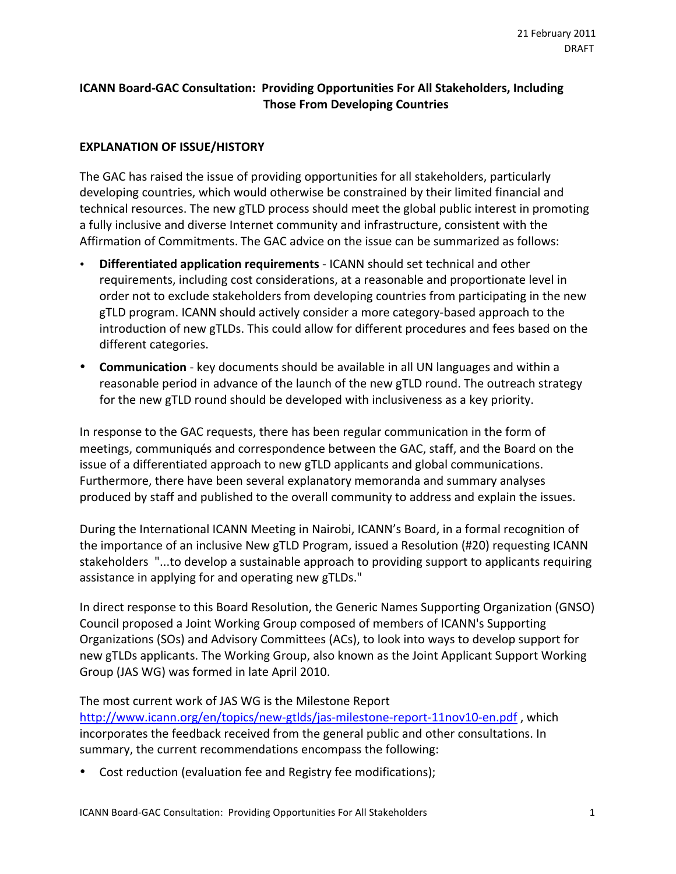# **ICANN Board-GAC Consultation: Providing Opportunities For All Stakeholders, Including Those From Developing Countries**

## **EXPLANATION OF ISSUE/HISTORY**

The GAC has raised the issue of providing opportunities for all stakeholders, particularly developing countries, which would otherwise be constrained by their limited financial and technical resources. The new gTLD process should meet the global public interest in promoting a fully inclusive and diverse Internet community and infrastructure, consistent with the Affirmation of Commitments. The GAC advice on the issue can be summarized as follows:

- **Differentiated application requirements** ICANN should set technical and other requirements, including cost considerations, at a reasonable and proportionate level in order not to exclude stakeholders from developing countries from participating in the new gTLD program. ICANN should actively consider a more category-based approach to the introduction of new gTLDs. This could allow for different procedures and fees based on the different categories.
- **Communication** key documents should be available in all UN languages and within a reasonable period in advance of the launch of the new gTLD round. The outreach strategy for the new gTLD round should be developed with inclusiveness as a key priority.

In response to the GAC requests, there has been regular communication in the form of meetings, communiqués and correspondence between the GAC, staff, and the Board on the issue of a differentiated approach to new gTLD applicants and global communications. Furthermore, there have been several explanatory memoranda and summary analyses produced by staff and published to the overall community to address and explain the issues.

During the International ICANN Meeting in Nairobi, ICANN's Board, in a formal recognition of the importance of an inclusive New gTLD Program, issued a Resolution (#20) requesting ICANN stakeholders "...to develop a sustainable approach to providing support to applicants requiring assistance in applying for and operating new gTLDs."

In direct response to this Board Resolution, the Generic Names Supporting Organization (GNSO) Council proposed a Joint Working Group composed of members of ICANN's Supporting Organizations (SOs) and Advisory Committees (ACs), to look into ways to develop support for new gTLDs applicants. The Working Group, also known as the Joint Applicant Support Working Group (JAS WG) was formed in late April 2010.

The most current work of JAS WG is the Milestone Report

http://www.icann.org/en/topics/new-gtlds/jas-milestone-report-11nov10-en.pdf, which incorporates the feedback received from the general public and other consultations. In summary, the current recommendations encompass the following:

**Cost reduction (evaluation fee and Registry fee modifications);**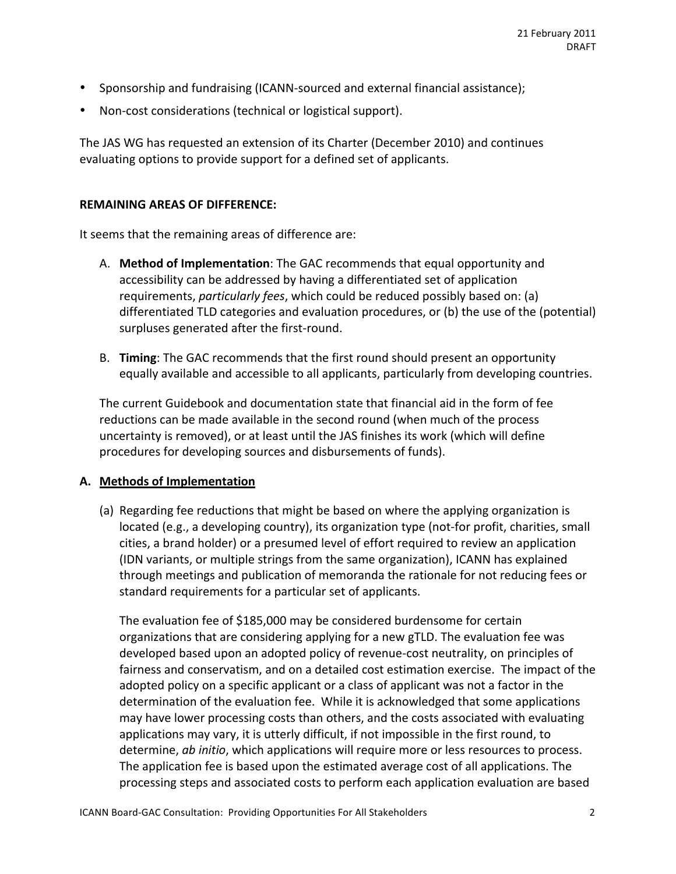- Sponsorship and fundraising (ICANN-sourced and external financial assistance);
- Non-cost considerations (technical or logistical support).

The JAS WG has requested an extension of its Charter (December 2010) and continues evaluating options to provide support for a defined set of applicants.

#### **REMAINING AREAS OF DIFFERENCE:**

It seems that the remaining areas of difference are:

- A. **Method of Implementation**: The GAC recommends that equal opportunity and accessibility can be addressed by having a differentiated set of application requirements, *particularly fees*, which could be reduced possibly based on: (a) differentiated TLD categories and evaluation procedures, or (b) the use of the (potential) surpluses generated after the first-round.
- B. **Timing**: The GAC recommends that the first round should present an opportunity equally available and accessible to all applicants, particularly from developing countries.

The current Guidebook and documentation state that financial aid in the form of fee reductions can be made available in the second round (when much of the process uncertainty is removed), or at least until the JAS finishes its work (which will define procedures for developing sources and disbursements of funds).

#### **A.** Methods of Implementation

(a) Regarding fee reductions that might be based on where the applying organization is located (e.g., a developing country), its organization type (not-for profit, charities, small cities, a brand holder) or a presumed level of effort required to review an application (IDN variants, or multiple strings from the same organization), ICANN has explained through meetings and publication of memoranda the rationale for not reducing fees or standard requirements for a particular set of applicants.

The evaluation fee of \$185,000 may be considered burdensome for certain organizations that are considering applying for a new gTLD. The evaluation fee was developed based upon an adopted policy of revenue-cost neutrality, on principles of fairness and conservatism, and on a detailed cost estimation exercise. The impact of the adopted policy on a specific applicant or a class of applicant was not a factor in the determination of the evaluation fee. While it is acknowledged that some applications may have lower processing costs than others, and the costs associated with evaluating applications may vary, it is utterly difficult, if not impossible in the first round, to determine, *ab initio*, which applications will require more or less resources to process. The application fee is based upon the estimated average cost of all applications. The processing steps and associated costs to perform each application evaluation are based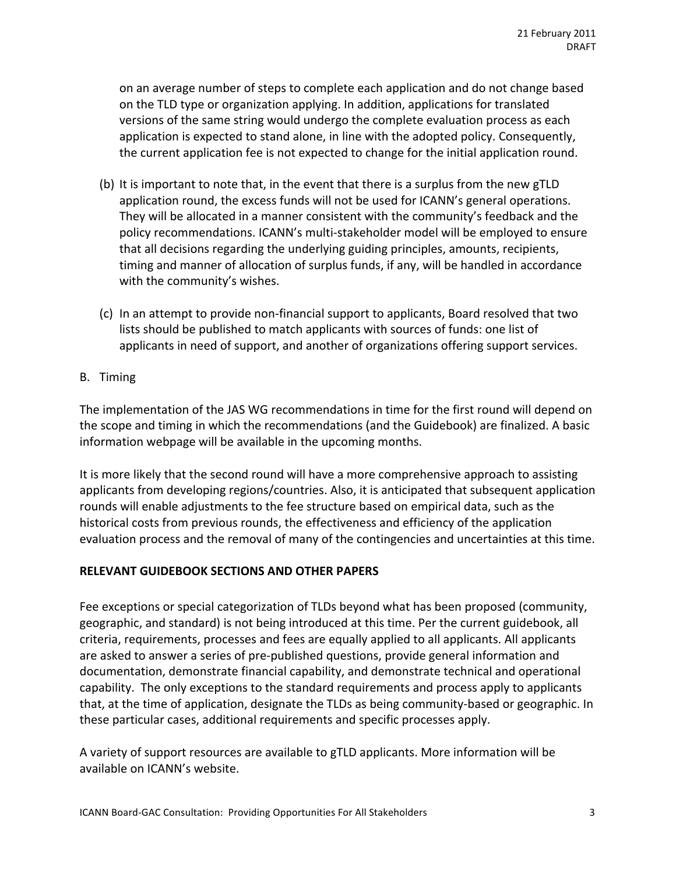on an average number of steps to complete each application and do not change based on the TLD type or organization applying. In addition, applications for translated versions of the same string would undergo the complete evaluation process as each application is expected to stand alone, in line with the adopted policy. Consequently, the current application fee is not expected to change for the initial application round.

- (b) It is important to note that, in the event that there is a surplus from the new gTLD application round, the excess funds will not be used for ICANN's general operations. They will be allocated in a manner consistent with the community's feedback and the policy recommendations. ICANN's multi-stakeholder model will be employed to ensure that all decisions regarding the underlying guiding principles, amounts, recipients, timing and manner of allocation of surplus funds, if any, will be handled in accordance with the community's wishes.
- $(c)$  In an attempt to provide non-financial support to applicants, Board resolved that two lists should be published to match applicants with sources of funds: one list of applicants in need of support, and another of organizations offering support services.
- B. Timing

The implementation of the JAS WG recommendations in time for the first round will depend on the scope and timing in which the recommendations (and the Guidebook) are finalized. A basic information webpage will be available in the upcoming months.

It is more likely that the second round will have a more comprehensive approach to assisting applicants from developing regions/countries. Also, it is anticipated that subsequent application rounds will enable adjustments to the fee structure based on empirical data, such as the historical costs from previous rounds, the effectiveness and efficiency of the application evaluation process and the removal of many of the contingencies and uncertainties at this time.

#### **RELEVANT GUIDEBOOK SECTIONS AND OTHER PAPERS**

Fee exceptions or special categorization of TLDs beyond what has been proposed (community, geographic, and standard) is not being introduced at this time. Per the current guidebook, all criteria, requirements, processes and fees are equally applied to all applicants. All applicants are asked to answer a series of pre-published questions, provide general information and documentation, demonstrate financial capability, and demonstrate technical and operational capability. The only exceptions to the standard requirements and process apply to applicants that, at the time of application, designate the TLDs as being community-based or geographic. In these particular cases, additional requirements and specific processes apply.

A variety of support resources are available to gTLD applicants. More information will be available on ICANN's website.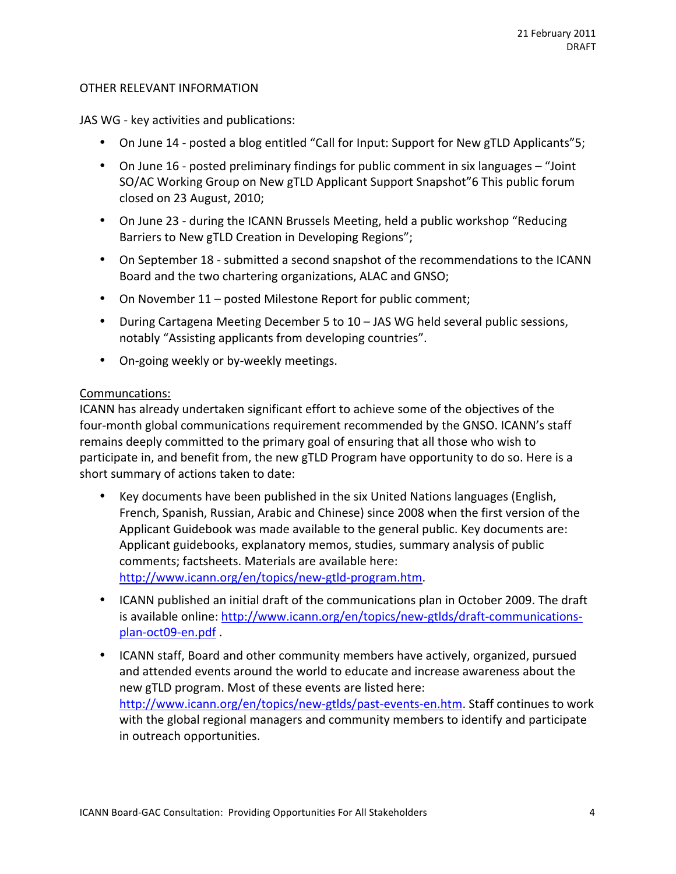#### OTHER RELEVANT INFORMATION

JAS WG - key activities and publications:

- On June 14 posted a blog entitled "Call for Input: Support for New gTLD Applicants"5;
- On June 16 posted preliminary findings for public comment in six languages  $-$  "Joint" SO/AC Working Group on New gTLD Applicant Support Snapshot"6 This public forum closed on 23 August, 2010;
- On June 23 during the ICANN Brussels Meeting, held a public workshop "Reducing Barriers to New gTLD Creation in Developing Regions";
- On September 18 submitted a second snapshot of the recommendations to the ICANN Board and the two chartering organizations, ALAC and GNSO;
- On November  $11$  posted Milestone Report for public comment;
- During Cartagena Meeting December 5 to 10 JAS WG held several public sessions, notably "Assisting applicants from developing countries".
- On-going weekly or by-weekly meetings.

#### Communcations:

ICANN has already undertaken significant effort to achieve some of the objectives of the four-month global communications requirement recommended by the GNSO. ICANN's staff remains deeply committed to the primary goal of ensuring that all those who wish to participate in, and benefit from, the new gTLD Program have opportunity to do so. Here is a short summary of actions taken to date:

- Key documents have been published in the six United Nations languages (English, French, Spanish, Russian, Arabic and Chinese) since 2008 when the first version of the Applicant Guidebook was made available to the general public. Key documents are: Applicant guidebooks, explanatory memos, studies, summary analysis of public comments; factsheets. Materials are available here: http://www.icann.org/en/topics/new-gtld-program.htm.
- ICANN published an initial draft of the communications plan in October 2009. The draft is available online: http://www.icann.org/en/topics/new-gtlds/draft-communicationsplan-oct09-en.pdf
- ICANN staff, Board and other community members have actively, organized, pursued and attended events around the world to educate and increase awareness about the new gTLD program. Most of these events are listed here: http://www.icann.org/en/topics/new-gtlds/past-events-en.htm. Staff continues to work with the global regional managers and community members to identify and participate in outreach opportunities.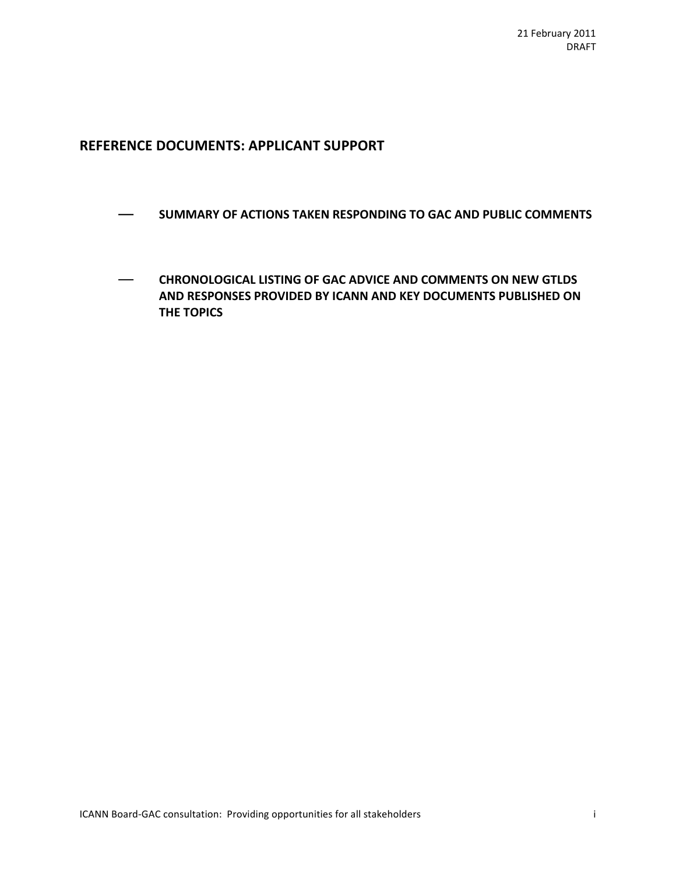# **REFERENCE DOCUMENTS: APPLICANT SUPPORT**

- **EXECTIONS TAKEN RESPONDING TO GAC AND PUBLIC COMMENTS**
- $-$  **CHRONOLOGICAL LISTING OF GAC ADVICE AND COMMENTS ON NEW GTLDS** AND RESPONSES PROVIDED BY ICANN AND KEY DOCUMENTS PUBLISHED ON **THE TOPICS**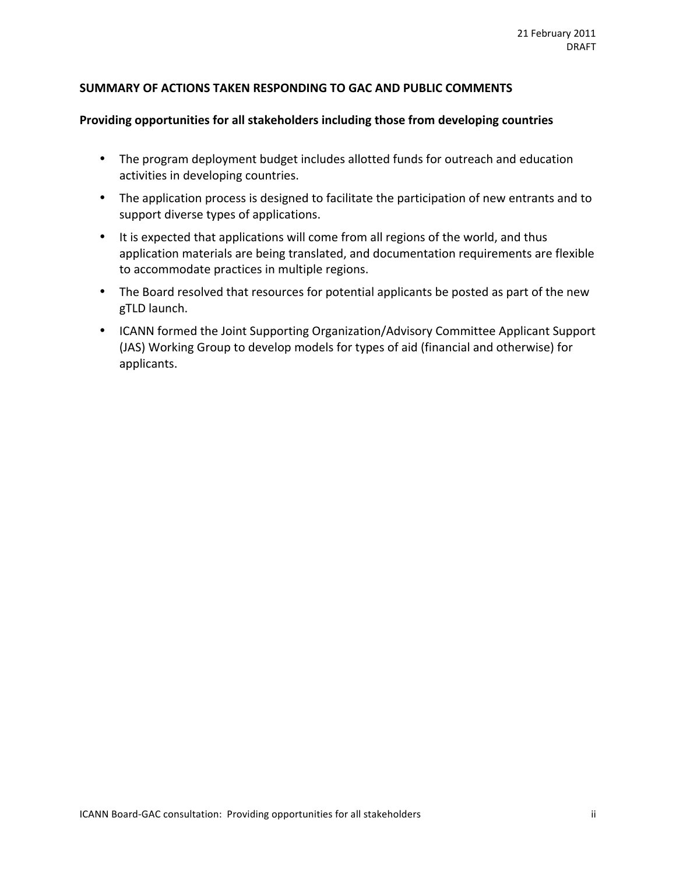## SUMMARY OF ACTIONS TAKEN RESPONDING TO GAC AND PUBLIC COMMENTS

#### Providing opportunities for all stakeholders including those from developing countries

- The program deployment budget includes allotted funds for outreach and education activities in developing countries.
- The application process is designed to facilitate the participation of new entrants and to support diverse types of applications.
- It is expected that applications will come from all regions of the world, and thus application materials are being translated, and documentation requirements are flexible to accommodate practices in multiple regions.
- The Board resolved that resources for potential applicants be posted as part of the new gTLD launch.
- ICANN formed the Joint Supporting Organization/Advisory Committee Applicant Support (JAS) Working Group to develop models for types of aid (financial and otherwise) for applicants.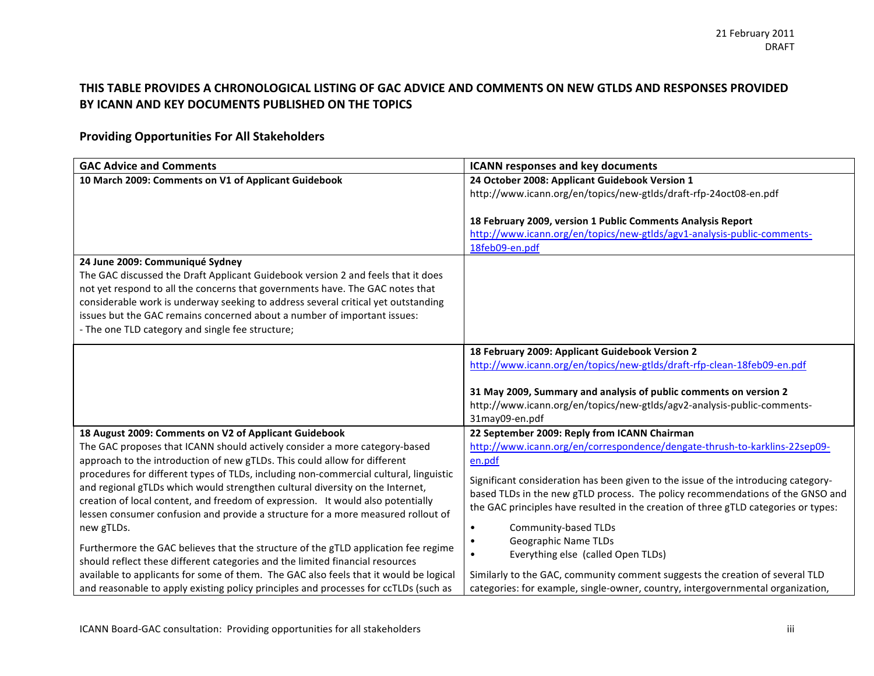## THIS TABLE PROVIDES A CHRONOLOGICAL LISTING OF GAC ADVICE AND COMMENTS ON NEW GTLDS AND RESPONSES PROVIDED BY ICANN AND KEY DOCUMENTS PUBLISHED ON THE TOPICS

## **Providing%Opportunities%For%All%Stakeholders**

| <b>GAC Advice and Comments</b>                                                        | <b>ICANN responses and key documents</b>                                            |
|---------------------------------------------------------------------------------------|-------------------------------------------------------------------------------------|
| 10 March 2009: Comments on V1 of Applicant Guidebook                                  | 24 October 2008: Applicant Guidebook Version 1                                      |
|                                                                                       | http://www.icann.org/en/topics/new-gtlds/draft-rfp-24oct08-en.pdf                   |
|                                                                                       |                                                                                     |
|                                                                                       | 18 February 2009, version 1 Public Comments Analysis Report                         |
|                                                                                       | http://www.icann.org/en/topics/new-gtlds/agv1-analysis-public-comments-             |
|                                                                                       | 18feb09-en.pdf                                                                      |
| 24 June 2009: Communiqué Sydney                                                       |                                                                                     |
| The GAC discussed the Draft Applicant Guidebook version 2 and feels that it does      |                                                                                     |
| not yet respond to all the concerns that governments have. The GAC notes that         |                                                                                     |
| considerable work is underway seeking to address several critical yet outstanding     |                                                                                     |
| issues but the GAC remains concerned about a number of important issues:              |                                                                                     |
| - The one TLD category and single fee structure;                                      |                                                                                     |
|                                                                                       | 18 February 2009: Applicant Guidebook Version 2                                     |
|                                                                                       | http://www.icann.org/en/topics/new-gtlds/draft-rfp-clean-18feb09-en.pdf             |
|                                                                                       |                                                                                     |
|                                                                                       | 31 May 2009, Summary and analysis of public comments on version 2                   |
|                                                                                       | http://www.icann.org/en/topics/new-gtlds/agv2-analysis-public-comments-             |
|                                                                                       | 31may09-en.pdf                                                                      |
| 18 August 2009: Comments on V2 of Applicant Guidebook                                 | 22 September 2009: Reply from ICANN Chairman                                        |
| The GAC proposes that ICANN should actively consider a more category-based            | http://www.icann.org/en/correspondence/dengate-thrush-to-karklins-22sep09-          |
| approach to the introduction of new gTLDs. This could allow for different             | en.pdf                                                                              |
| procedures for different types of TLDs, including non-commercial cultural, linguistic | Significant consideration has been given to the issue of the introducing category-  |
| and regional gTLDs which would strengthen cultural diversity on the Internet,         | based TLDs in the new gTLD process. The policy recommendations of the GNSO and      |
| creation of local content, and freedom of expression. It would also potentially       | the GAC principles have resulted in the creation of three gTLD categories or types: |
| lessen consumer confusion and provide a structure for a more measured rollout of      |                                                                                     |
| new gTLDs.                                                                            | Community-based TLDs<br>$\bullet$                                                   |
| Furthermore the GAC believes that the structure of the gTLD application fee regime    | Geographic Name TLDs                                                                |
| should reflect these different categories and the limited financial resources         | Everything else (called Open TLDs)                                                  |
| available to applicants for some of them. The GAC also feels that it would be logical | Similarly to the GAC, community comment suggests the creation of several TLD        |
| and reasonable to apply existing policy principles and processes for ccTLDs (such as  | categories: for example, single-owner, country, intergovernmental organization,     |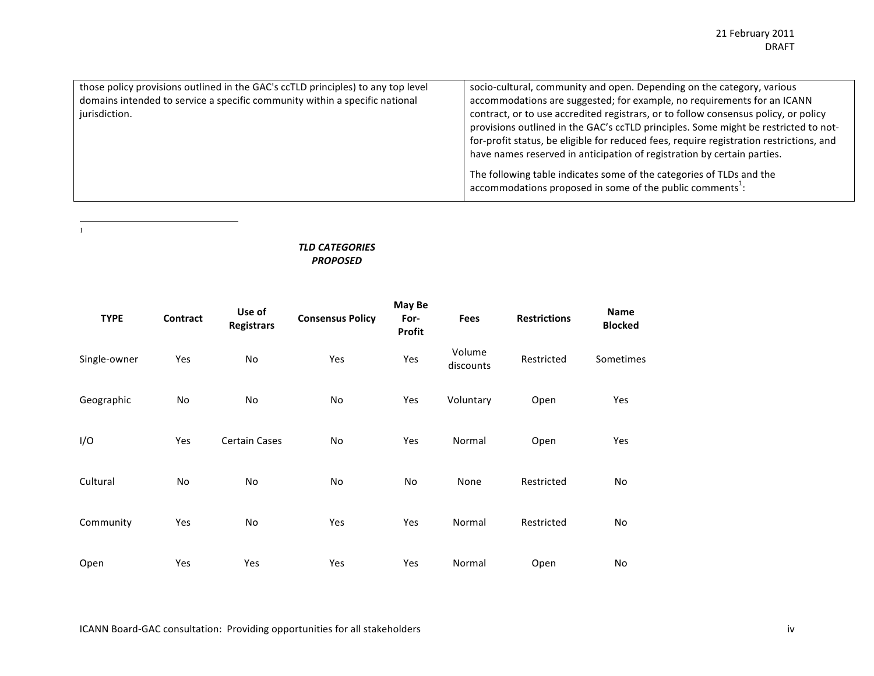| those policy provisions outlined in the GAC's ccTLD principles) to any top level | socio-cultural, community and open. Depending on the category, various                                                                                 |
|----------------------------------------------------------------------------------|--------------------------------------------------------------------------------------------------------------------------------------------------------|
| domains intended to service a specific community within a specific national      | accommodations are suggested; for example, no requirements for an ICANN                                                                                |
| jurisdiction.                                                                    | contract, or to use accredited registrars, or to follow consensus policy, or policy                                                                    |
|                                                                                  | provisions outlined in the GAC's ccTLD principles. Some might be restricted to not-                                                                    |
|                                                                                  | for-profit status, be eligible for reduced fees, require registration restrictions, and                                                                |
|                                                                                  | have names reserved in anticipation of registration by certain parties.                                                                                |
|                                                                                  | The following table indicates some of the categories of TLDs and the<br>$\alpha$ accommodations proposed in some of the public comments <sup>1</sup> : |

*TLD\$CATEGORIES\$ PROPOSED*

| <b>TYPE</b>  | Contract  | Use of<br><b>Registrars</b> | <b>Consensus Policy</b> | May Be<br>For-<br>Profit | <b>Fees</b>         | <b>Restrictions</b> | <b>Name</b><br><b>Blocked</b> |
|--------------|-----------|-----------------------------|-------------------------|--------------------------|---------------------|---------------------|-------------------------------|
| Single-owner | Yes       | No                          | Yes                     | Yes                      | Volume<br>discounts | Restricted          | Sometimes                     |
| Geographic   | No        | No                          | No                      | Yes                      | Voluntary           | Open                | Yes                           |
| I/O          | Yes       | <b>Certain Cases</b>        | No                      | Yes                      | Normal              | Open                | Yes                           |
| Cultural     | <b>No</b> | No                          | No                      | No                       | None                | Restricted          | No                            |
| Community    | Yes       | No                          | Yes                     | Yes                      | Normal              | Restricted          | No                            |
| Open         | Yes       | Yes                         | Yes                     | Yes                      | Normal              | Open                | No                            |

!!!!!!!!!!!!!!!!!!!!!!!!!!!!!!!!!!!!!!!!!!!!!!!!!!!!!!! <sup>1</sup>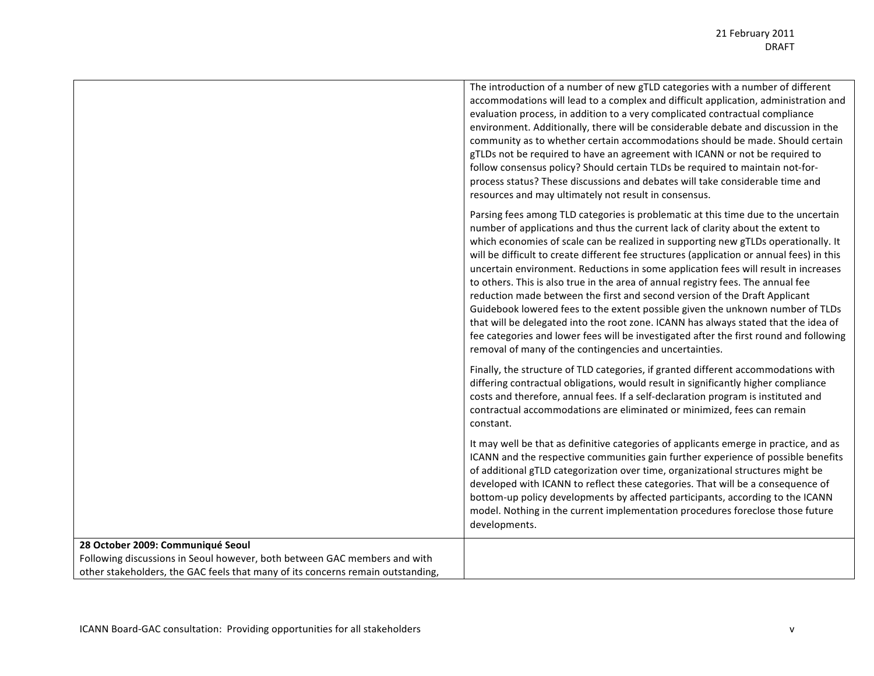|                                                                                 | The introduction of a number of new gTLD categories with a number of different<br>accommodations will lead to a complex and difficult application, administration and<br>evaluation process, in addition to a very complicated contractual compliance<br>environment. Additionally, there will be considerable debate and discussion in the<br>community as to whether certain accommodations should be made. Should certain<br>gTLDs not be required to have an agreement with ICANN or not be required to<br>follow consensus policy? Should certain TLDs be required to maintain not-for-<br>process status? These discussions and debates will take considerable time and<br>resources and may ultimately not result in consensus.                                                                                                                                                                                                          |
|---------------------------------------------------------------------------------|-------------------------------------------------------------------------------------------------------------------------------------------------------------------------------------------------------------------------------------------------------------------------------------------------------------------------------------------------------------------------------------------------------------------------------------------------------------------------------------------------------------------------------------------------------------------------------------------------------------------------------------------------------------------------------------------------------------------------------------------------------------------------------------------------------------------------------------------------------------------------------------------------------------------------------------------------|
|                                                                                 | Parsing fees among TLD categories is problematic at this time due to the uncertain<br>number of applications and thus the current lack of clarity about the extent to<br>which economies of scale can be realized in supporting new gTLDs operationally. It<br>will be difficult to create different fee structures (application or annual fees) in this<br>uncertain environment. Reductions in some application fees will result in increases<br>to others. This is also true in the area of annual registry fees. The annual fee<br>reduction made between the first and second version of the Draft Applicant<br>Guidebook lowered fees to the extent possible given the unknown number of TLDs<br>that will be delegated into the root zone. ICANN has always stated that the idea of<br>fee categories and lower fees will be investigated after the first round and following<br>removal of many of the contingencies and uncertainties. |
|                                                                                 | Finally, the structure of TLD categories, if granted different accommodations with<br>differing contractual obligations, would result in significantly higher compliance<br>costs and therefore, annual fees. If a self-declaration program is instituted and<br>contractual accommodations are eliminated or minimized, fees can remain<br>constant.                                                                                                                                                                                                                                                                                                                                                                                                                                                                                                                                                                                           |
|                                                                                 | It may well be that as definitive categories of applicants emerge in practice, and as<br>ICANN and the respective communities gain further experience of possible benefits<br>of additional gTLD categorization over time, organizational structures might be<br>developed with ICANN to reflect these categories. That will be a consequence of<br>bottom-up policy developments by affected participants, according to the ICANN<br>model. Nothing in the current implementation procedures foreclose those future<br>developments.                                                                                                                                                                                                                                                                                                                                                                                                           |
| 28 October 2009: Communiqué Seoul                                               |                                                                                                                                                                                                                                                                                                                                                                                                                                                                                                                                                                                                                                                                                                                                                                                                                                                                                                                                                 |
| Following discussions in Seoul however, both between GAC members and with       |                                                                                                                                                                                                                                                                                                                                                                                                                                                                                                                                                                                                                                                                                                                                                                                                                                                                                                                                                 |
| other stakeholders, the GAC feels that many of its concerns remain outstanding, |                                                                                                                                                                                                                                                                                                                                                                                                                                                                                                                                                                                                                                                                                                                                                                                                                                                                                                                                                 |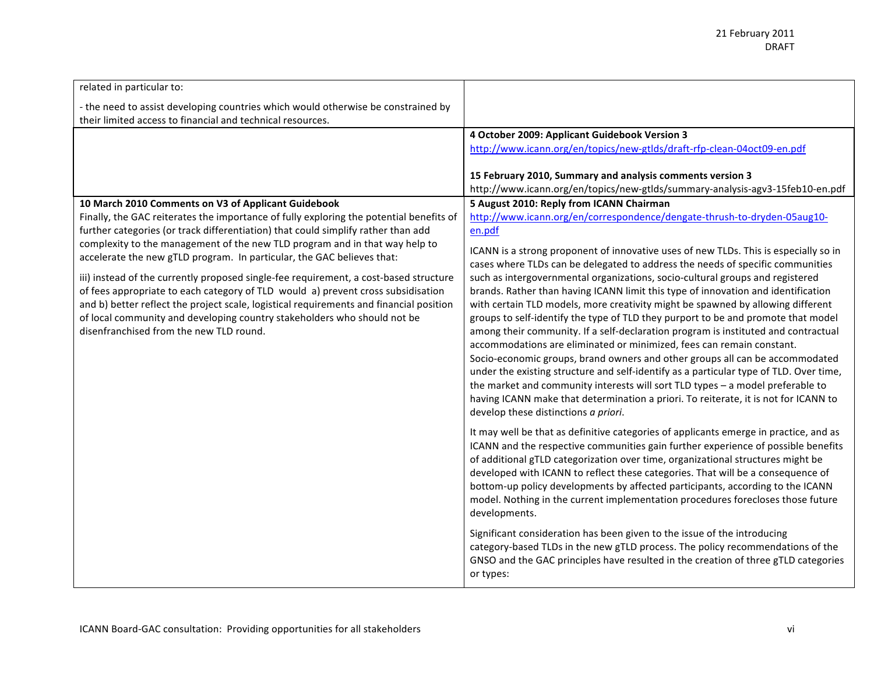| related in particular to:                                                                                                                                                                                                                                                                                                                                                                                                                                                                                                                                                                                                                 |                                                                                                                                                                                                                                                                                                                                                                                                                                                                                                                                                                                                                                                                                                                                                                                                                                                                                                                                                                                                                                                                                |
|-------------------------------------------------------------------------------------------------------------------------------------------------------------------------------------------------------------------------------------------------------------------------------------------------------------------------------------------------------------------------------------------------------------------------------------------------------------------------------------------------------------------------------------------------------------------------------------------------------------------------------------------|--------------------------------------------------------------------------------------------------------------------------------------------------------------------------------------------------------------------------------------------------------------------------------------------------------------------------------------------------------------------------------------------------------------------------------------------------------------------------------------------------------------------------------------------------------------------------------------------------------------------------------------------------------------------------------------------------------------------------------------------------------------------------------------------------------------------------------------------------------------------------------------------------------------------------------------------------------------------------------------------------------------------------------------------------------------------------------|
| - the need to assist developing countries which would otherwise be constrained by<br>their limited access to financial and technical resources.                                                                                                                                                                                                                                                                                                                                                                                                                                                                                           |                                                                                                                                                                                                                                                                                                                                                                                                                                                                                                                                                                                                                                                                                                                                                                                                                                                                                                                                                                                                                                                                                |
|                                                                                                                                                                                                                                                                                                                                                                                                                                                                                                                                                                                                                                           | 4 October 2009: Applicant Guidebook Version 3                                                                                                                                                                                                                                                                                                                                                                                                                                                                                                                                                                                                                                                                                                                                                                                                                                                                                                                                                                                                                                  |
|                                                                                                                                                                                                                                                                                                                                                                                                                                                                                                                                                                                                                                           | http://www.icann.org/en/topics/new-gtlds/draft-rfp-clean-04oct09-en.pdf                                                                                                                                                                                                                                                                                                                                                                                                                                                                                                                                                                                                                                                                                                                                                                                                                                                                                                                                                                                                        |
|                                                                                                                                                                                                                                                                                                                                                                                                                                                                                                                                                                                                                                           | 15 February 2010, Summary and analysis comments version 3<br>http://www.icann.org/en/topics/new-gtlds/summary-analysis-agv3-15feb10-en.pdf                                                                                                                                                                                                                                                                                                                                                                                                                                                                                                                                                                                                                                                                                                                                                                                                                                                                                                                                     |
| 10 March 2010 Comments on V3 of Applicant Guidebook                                                                                                                                                                                                                                                                                                                                                                                                                                                                                                                                                                                       | 5 August 2010: Reply from ICANN Chairman                                                                                                                                                                                                                                                                                                                                                                                                                                                                                                                                                                                                                                                                                                                                                                                                                                                                                                                                                                                                                                       |
| Finally, the GAC reiterates the importance of fully exploring the potential benefits of                                                                                                                                                                                                                                                                                                                                                                                                                                                                                                                                                   | http://www.icann.org/en/correspondence/dengate-thrush-to-dryden-05aug10-                                                                                                                                                                                                                                                                                                                                                                                                                                                                                                                                                                                                                                                                                                                                                                                                                                                                                                                                                                                                       |
|                                                                                                                                                                                                                                                                                                                                                                                                                                                                                                                                                                                                                                           | en.pdf                                                                                                                                                                                                                                                                                                                                                                                                                                                                                                                                                                                                                                                                                                                                                                                                                                                                                                                                                                                                                                                                         |
| further categories (or track differentiation) that could simplify rather than add<br>complexity to the management of the new TLD program and in that way help to<br>accelerate the new gTLD program. In particular, the GAC believes that:<br>iii) instead of the currently proposed single-fee requirement, a cost-based structure<br>of fees appropriate to each category of TLD would a) prevent cross subsidisation<br>and b) better reflect the project scale, logistical requirements and financial position<br>of local community and developing country stakeholders who should not be<br>disenfranchised from the new TLD round. | ICANN is a strong proponent of innovative uses of new TLDs. This is especially so in<br>cases where TLDs can be delegated to address the needs of specific communities<br>such as intergovernmental organizations, socio-cultural groups and registered<br>brands. Rather than having ICANN limit this type of innovation and identification<br>with certain TLD models, more creativity might be spawned by allowing different<br>groups to self-identify the type of TLD they purport to be and promote that model<br>among their community. If a self-declaration program is instituted and contractual<br>accommodations are eliminated or minimized, fees can remain constant.<br>Socio-economic groups, brand owners and other groups all can be accommodated<br>under the existing structure and self-identify as a particular type of TLD. Over time,<br>the market and community interests will sort TLD types - a model preferable to<br>having ICANN make that determination a priori. To reiterate, it is not for ICANN to<br>develop these distinctions a priori. |
|                                                                                                                                                                                                                                                                                                                                                                                                                                                                                                                                                                                                                                           | It may well be that as definitive categories of applicants emerge in practice, and as<br>ICANN and the respective communities gain further experience of possible benefits<br>of additional gTLD categorization over time, organizational structures might be<br>developed with ICANN to reflect these categories. That will be a consequence of<br>bottom-up policy developments by affected participants, according to the ICANN<br>model. Nothing in the current implementation procedures forecloses those future<br>developments.                                                                                                                                                                                                                                                                                                                                                                                                                                                                                                                                         |
|                                                                                                                                                                                                                                                                                                                                                                                                                                                                                                                                                                                                                                           | Significant consideration has been given to the issue of the introducing<br>category-based TLDs in the new gTLD process. The policy recommendations of the<br>GNSO and the GAC principles have resulted in the creation of three gTLD categories<br>or types:                                                                                                                                                                                                                                                                                                                                                                                                                                                                                                                                                                                                                                                                                                                                                                                                                  |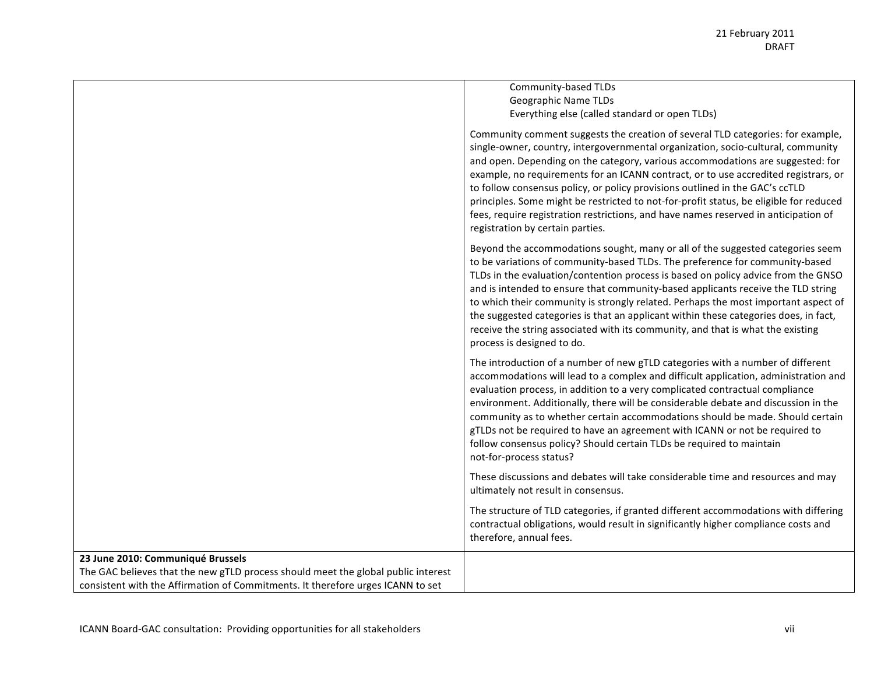┑

|                                                                                   | Community-based TLDs                                                                                                                                                                                                                                                                                                                                                                                                                                                                                                                                                                                                                              |
|-----------------------------------------------------------------------------------|---------------------------------------------------------------------------------------------------------------------------------------------------------------------------------------------------------------------------------------------------------------------------------------------------------------------------------------------------------------------------------------------------------------------------------------------------------------------------------------------------------------------------------------------------------------------------------------------------------------------------------------------------|
|                                                                                   | Geographic Name TLDs                                                                                                                                                                                                                                                                                                                                                                                                                                                                                                                                                                                                                              |
|                                                                                   | Everything else (called standard or open TLDs)                                                                                                                                                                                                                                                                                                                                                                                                                                                                                                                                                                                                    |
|                                                                                   | Community comment suggests the creation of several TLD categories: for example,<br>single-owner, country, intergovernmental organization, socio-cultural, community<br>and open. Depending on the category, various accommodations are suggested: for<br>example, no requirements for an ICANN contract, or to use accredited registrars, or<br>to follow consensus policy, or policy provisions outlined in the GAC's ccTLD<br>principles. Some might be restricted to not-for-profit status, be eligible for reduced<br>fees, require registration restrictions, and have names reserved in anticipation of<br>registration by certain parties. |
|                                                                                   | Beyond the accommodations sought, many or all of the suggested categories seem<br>to be variations of community-based TLDs. The preference for community-based<br>TLDs in the evaluation/contention process is based on policy advice from the GNSO<br>and is intended to ensure that community-based applicants receive the TLD string<br>to which their community is strongly related. Perhaps the most important aspect of<br>the suggested categories is that an applicant within these categories does, in fact,<br>receive the string associated with its community, and that is what the existing<br>process is designed to do.            |
|                                                                                   | The introduction of a number of new gTLD categories with a number of different<br>accommodations will lead to a complex and difficult application, administration and<br>evaluation process, in addition to a very complicated contractual compliance<br>environment. Additionally, there will be considerable debate and discussion in the<br>community as to whether certain accommodations should be made. Should certain<br>gTLDs not be required to have an agreement with ICANN or not be required to<br>follow consensus policy? Should certain TLDs be required to maintain<br>not-for-process status?                                    |
|                                                                                   | These discussions and debates will take considerable time and resources and may<br>ultimately not result in consensus.                                                                                                                                                                                                                                                                                                                                                                                                                                                                                                                            |
|                                                                                   | The structure of TLD categories, if granted different accommodations with differing<br>contractual obligations, would result in significantly higher compliance costs and<br>therefore, annual fees.                                                                                                                                                                                                                                                                                                                                                                                                                                              |
| 23 June 2010: Communiqué Brussels                                                 |                                                                                                                                                                                                                                                                                                                                                                                                                                                                                                                                                                                                                                                   |
| The GAC believes that the new gTLD process should meet the global public interest |                                                                                                                                                                                                                                                                                                                                                                                                                                                                                                                                                                                                                                                   |
| consistent with the Affirmation of Commitments. It therefore urges ICANN to set   |                                                                                                                                                                                                                                                                                                                                                                                                                                                                                                                                                                                                                                                   |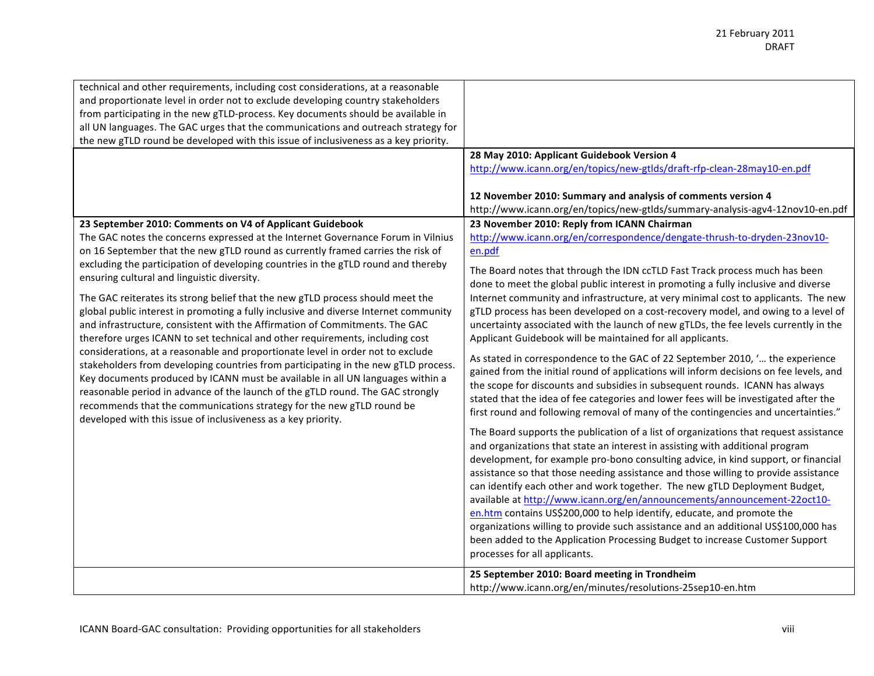| technical and other requirements, including cost considerations, at a reasonable<br>and proportionate level in order not to exclude developing country stakeholders<br>from participating in the new gTLD-process. Key documents should be available in<br>all UN languages. The GAC urges that the communications and outreach strategy for<br>the new gTLD round be developed with this issue of inclusiveness as a key priority.                                                                                                                                                                                                                                                                                                                                                                                                                                                                                                                                                                                                                                                                                                                                                                  |                                                                                                                                                                                                                                                                                                                                                                                                                                                                                                                                                                                                                                                                                                                                                                                                                                                                                                                                                                                                                                                                                                                                                                                                                                                                                                                                                                                                                                                                                                                                                                                                                                                                                                                                                                                                                                                                                                                                                                                                                                                                                                                                                              |
|------------------------------------------------------------------------------------------------------------------------------------------------------------------------------------------------------------------------------------------------------------------------------------------------------------------------------------------------------------------------------------------------------------------------------------------------------------------------------------------------------------------------------------------------------------------------------------------------------------------------------------------------------------------------------------------------------------------------------------------------------------------------------------------------------------------------------------------------------------------------------------------------------------------------------------------------------------------------------------------------------------------------------------------------------------------------------------------------------------------------------------------------------------------------------------------------------|--------------------------------------------------------------------------------------------------------------------------------------------------------------------------------------------------------------------------------------------------------------------------------------------------------------------------------------------------------------------------------------------------------------------------------------------------------------------------------------------------------------------------------------------------------------------------------------------------------------------------------------------------------------------------------------------------------------------------------------------------------------------------------------------------------------------------------------------------------------------------------------------------------------------------------------------------------------------------------------------------------------------------------------------------------------------------------------------------------------------------------------------------------------------------------------------------------------------------------------------------------------------------------------------------------------------------------------------------------------------------------------------------------------------------------------------------------------------------------------------------------------------------------------------------------------------------------------------------------------------------------------------------------------------------------------------------------------------------------------------------------------------------------------------------------------------------------------------------------------------------------------------------------------------------------------------------------------------------------------------------------------------------------------------------------------------------------------------------------------------------------------------------------------|
| 23 September 2010: Comments on V4 of Applicant Guidebook<br>The GAC notes the concerns expressed at the Internet Governance Forum in Vilnius<br>on 16 September that the new gTLD round as currently framed carries the risk of<br>excluding the participation of developing countries in the gTLD round and thereby<br>ensuring cultural and linguistic diversity.<br>The GAC reiterates its strong belief that the new gTLD process should meet the<br>global public interest in promoting a fully inclusive and diverse Internet community<br>and infrastructure, consistent with the Affirmation of Commitments. The GAC<br>therefore urges ICANN to set technical and other requirements, including cost<br>considerations, at a reasonable and proportionate level in order not to exclude<br>stakeholders from developing countries from participating in the new gTLD process.<br>Key documents produced by ICANN must be available in all UN languages within a<br>reasonable period in advance of the launch of the gTLD round. The GAC strongly<br>recommends that the communications strategy for the new gTLD round be<br>developed with this issue of inclusiveness as a key priority. | 28 May 2010: Applicant Guidebook Version 4<br>http://www.icann.org/en/topics/new-gtlds/draft-rfp-clean-28may10-en.pdf<br>12 November 2010: Summary and analysis of comments version 4<br>http://www.icann.org/en/topics/new-gtlds/summary-analysis-agv4-12nov10-en.pdf<br>23 November 2010: Reply from ICANN Chairman<br>http://www.icann.org/en/correspondence/dengate-thrush-to-dryden-23nov10-<br>en.pdf<br>The Board notes that through the IDN ccTLD Fast Track process much has been<br>done to meet the global public interest in promoting a fully inclusive and diverse<br>Internet community and infrastructure, at very minimal cost to applicants. The new<br>gTLD process has been developed on a cost-recovery model, and owing to a level of<br>uncertainty associated with the launch of new gTLDs, the fee levels currently in the<br>Applicant Guidebook will be maintained for all applicants.<br>As stated in correspondence to the GAC of 22 September 2010, ' the experience<br>gained from the initial round of applications will inform decisions on fee levels, and<br>the scope for discounts and subsidies in subsequent rounds. ICANN has always<br>stated that the idea of fee categories and lower fees will be investigated after the<br>first round and following removal of many of the contingencies and uncertainties."<br>The Board supports the publication of a list of organizations that request assistance<br>and organizations that state an interest in assisting with additional program<br>development, for example pro-bono consulting advice, in kind support, or financial<br>assistance so that those needing assistance and those willing to provide assistance<br>can identify each other and work together. The new gTLD Deployment Budget,<br>available at http://www.icann.org/en/announcements/announcement-22oct10-<br>en.htm contains US\$200,000 to help identify, educate, and promote the<br>organizations willing to provide such assistance and an additional US\$100,000 has<br>been added to the Application Processing Budget to increase Customer Support<br>processes for all applicants. |
|                                                                                                                                                                                                                                                                                                                                                                                                                                                                                                                                                                                                                                                                                                                                                                                                                                                                                                                                                                                                                                                                                                                                                                                                      | 25 September 2010: Board meeting in Trondheim<br>http://www.icann.org/en/minutes/resolutions-25sep10-en.htm                                                                                                                                                                                                                                                                                                                                                                                                                                                                                                                                                                                                                                                                                                                                                                                                                                                                                                                                                                                                                                                                                                                                                                                                                                                                                                                                                                                                                                                                                                                                                                                                                                                                                                                                                                                                                                                                                                                                                                                                                                                  |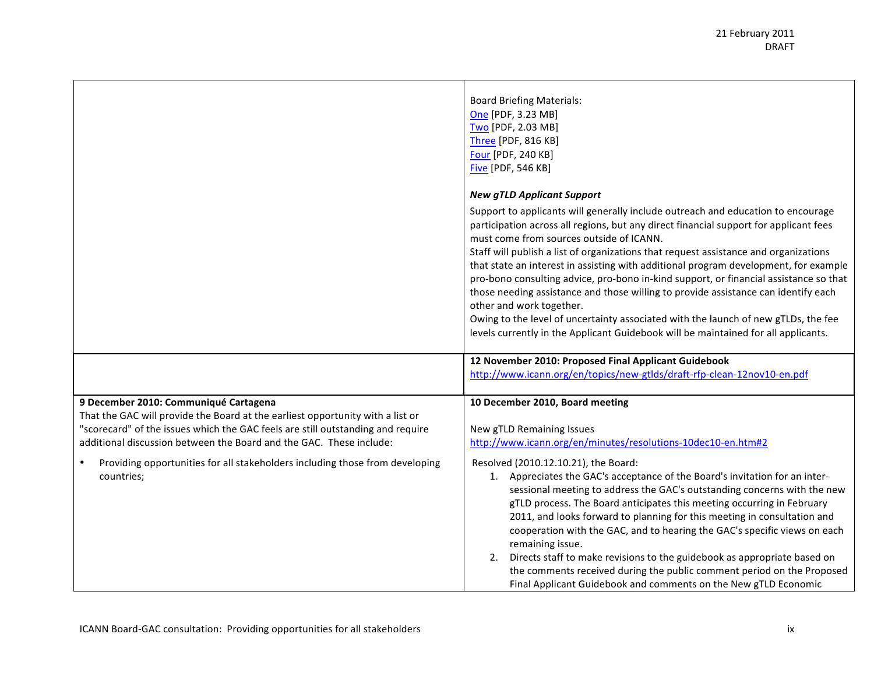|                                                                                                                                                                                                                                                                                   | <b>Board Briefing Materials:</b><br>One [PDF, 3.23 MB]<br>Two [PDF, 2.03 MB]<br><b>Three [PDF, 816 KB]</b><br>Four [PDF, 240 KB]<br>Five [PDF, 546 KB]<br><b>New gTLD Applicant Support</b><br>Support to applicants will generally include outreach and education to encourage<br>participation across all regions, but any direct financial support for applicant fees<br>must come from sources outside of ICANN.                                                                                                                                                                                                                                                               |
|-----------------------------------------------------------------------------------------------------------------------------------------------------------------------------------------------------------------------------------------------------------------------------------|------------------------------------------------------------------------------------------------------------------------------------------------------------------------------------------------------------------------------------------------------------------------------------------------------------------------------------------------------------------------------------------------------------------------------------------------------------------------------------------------------------------------------------------------------------------------------------------------------------------------------------------------------------------------------------|
|                                                                                                                                                                                                                                                                                   | Staff will publish a list of organizations that request assistance and organizations<br>that state an interest in assisting with additional program development, for example<br>pro-bono consulting advice, pro-bono in-kind support, or financial assistance so that<br>those needing assistance and those willing to provide assistance can identify each<br>other and work together.<br>Owing to the level of uncertainty associated with the launch of new gTLDs, the fee<br>levels currently in the Applicant Guidebook will be maintained for all applicants.                                                                                                                |
|                                                                                                                                                                                                                                                                                   | 12 November 2010: Proposed Final Applicant Guidebook<br>http://www.icann.org/en/topics/new-gtlds/draft-rfp-clean-12nov10-en.pdf                                                                                                                                                                                                                                                                                                                                                                                                                                                                                                                                                    |
| 9 December 2010: Communiqué Cartagena<br>That the GAC will provide the Board at the earliest opportunity with a list or<br>"scorecard" of the issues which the GAC feels are still outstanding and require<br>additional discussion between the Board and the GAC. These include: | 10 December 2010, Board meeting<br>New gTLD Remaining Issues<br>http://www.icann.org/en/minutes/resolutions-10dec10-en.htm#2                                                                                                                                                                                                                                                                                                                                                                                                                                                                                                                                                       |
| Providing opportunities for all stakeholders including those from developing<br>countries;                                                                                                                                                                                        | Resolved (2010.12.10.21), the Board:<br>1. Appreciates the GAC's acceptance of the Board's invitation for an inter-<br>sessional meeting to address the GAC's outstanding concerns with the new<br>gTLD process. The Board anticipates this meeting occurring in February<br>2011, and looks forward to planning for this meeting in consultation and<br>cooperation with the GAC, and to hearing the GAC's specific views on each<br>remaining issue.<br>2. Directs staff to make revisions to the guidebook as appropriate based on<br>the comments received during the public comment period on the Proposed<br>Final Applicant Guidebook and comments on the New gTLD Economic |